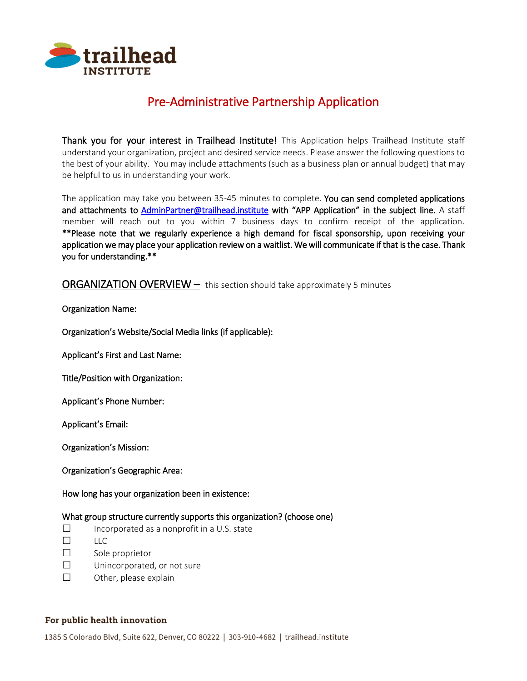

# Pre-Administrative Partnership Application

Thank you for your interest in Trailhead Institute! This Application helps Trailhead Institute staff understand your organization, project and desired service needs. Please answer the following questions to the best of your ability. You may include attachments (such as a business plan or annual budget) that may be helpful to us in understanding your work.

The application may take you between 35-45 minutes to complete. You can send completed applications and attachments to [AdminPartner@trailhead.institute](mailto:AdminPartner@trailhead.institute) with "APP Application" in the subject line. A staff member will reach out to you within 7 business days to confirm receipt of the application. \*\*Please note that we regularly experience a high demand for fiscal sponsorship, upon receiving your application we may place your application review on a waitlist. We will communicate if that is the case. Thank you for understanding.\*\*

# ORGANIZATION OVERVIEW – this section should take approximately 5 minutes

#### Organization Name:

Organization's Website/Social Media links (if applicable):

Applicant's First and Last Name:

Title/Position with Organization:

Applicant's Phone Number:

Applicant's Email:

Organization's Mission:

Organization's Geographic Area:

How long has your organization been in existence:

#### What group structure currently supports this organization? (choose one)

- $\square$  Incorporated as a nonprofit in a U.S. state
- ☐ LLC
- ☐ Sole proprietor
- ☐ Unincorporated, or not sure
- ☐ Other, please explain

#### For public health innovation

1385 S Colorado Blvd, Suite 622, Denver, CO 80222 | 303-910-4682 | trailhead.institute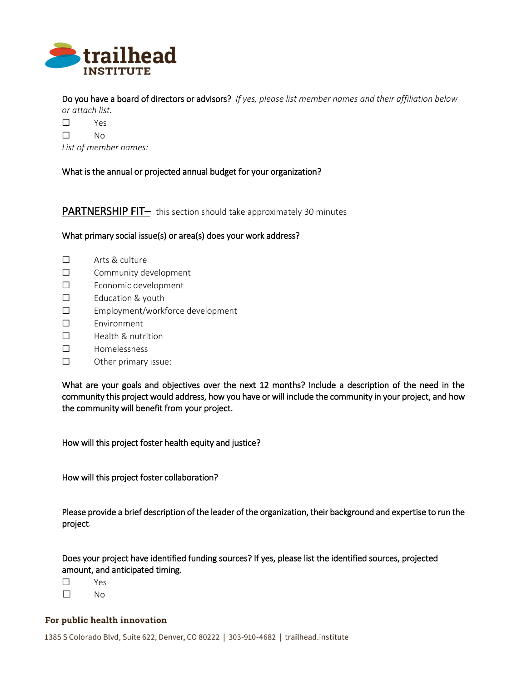

Do you have a board of directors or advisors? *If yes, please list member names and their affiliation below* 

*or attach list.*

☐ Yes

☐ No

*List of member names:*

What is the annual or projected annual budget for your organization?

**PARTNERSHIP FIT–** this section should take approximately 30 minutes

#### What primary social issue(s) or area(s) does your work address?

- ☐ Arts & culture
- ☐ Community development
- ☐ Economic development
- ☐ Education & youth
- ☐ Employment/workforce development
- ☐ Environment
- ☐ Health & nutrition
- ☐ Homelessness
- ☐ Other primary issue:

What are your goals and objectives over the next 12 months? Include a description of the need in the community this project would address, how you have or will include the community in your project, and how the community will benefit from your project.

How will this project foster health equity and justice?

How will this project foster collaboration?

Please provide a brief description of the leader of the organization, their background and expertise to run the project.

Does your project have identified funding sources? If yes, please list the identified sources, projected amount, and anticipated timing.

☐ Yes

☐ No

#### For public health innovation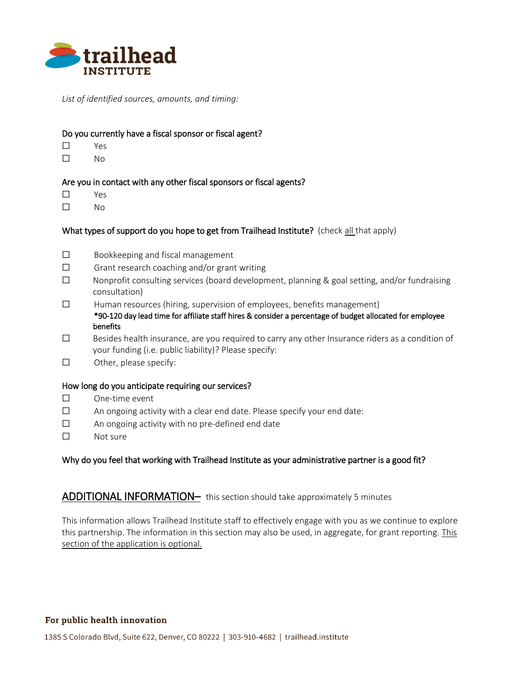

*List of identified sources, amounts, and timing:*

#### Do you currently have a fiscal sponsor or fiscal agent?

- ☐ Yes
- ☐ No

#### Are you in contact with any other fiscal sponsors or fiscal agents?

- ☐ Yes
- ☐ No

# What types of support do you hope to get from Trailhead Institute? (check all that apply)

- ☐ Bookkeeping and fiscal management
- ☐ Grant research coaching and/or grant writing
- $\Box$  Nonprofit consulting services (board development, planning & goal setting, and/or fundraising consultation)
- ☐ Human resources (hiring, supervision of employees, benefits management) \*90-120 day lead time for affiliate staff hires & consider a percentage of budget allocated for employee benefits
- ☐ Besides health insurance, are you required to carry any other Insurance riders as a condition of your funding (i.e. public liability)? Please specify:
- ☐ Other, please specify:

#### How long do you anticipate requiring our services?

- ☐ One-time event
- ☐ An ongoing activity with a clear end date. Please specify your end date:
- ☐ An ongoing activity with no pre-defined end date
- ☐ Not sure

#### Why do you feel that working with Trailhead Institute as your administrative partner is a good fit?

# ADDITIONAL INFORMATION- this section should take approximately 5 minutes

This information allows Trailhead Institute staff to effectively engage with you as we continue to explore this partnership. The information in this section may also be used, in aggregate, for grant reporting. This section of the application is optional.

#### For public health innovation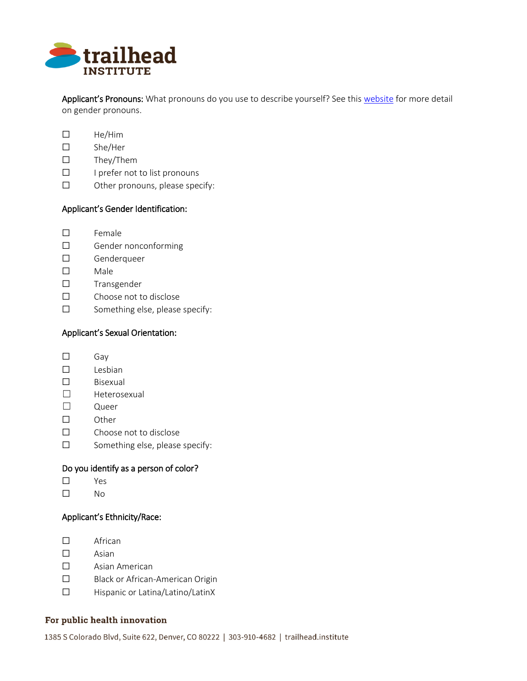

Applicant's Pronouns: What pronouns do you use to describe yourself? See this [website](https://www.mypronouns.org/what-and-why/) for more detail on gender pronouns.

- ☐ He/Him
- ☐ She/Her
- ☐ They/Them
- ☐ I prefer not to list pronouns
- ☐ Other pronouns, please specify:

# Applicant's Gender Identification:

- ☐ Female
- ☐ Gender nonconforming
- ☐ Genderqueer
- ☐ Male
- ☐ Transgender
- ☐ Choose not to disclose
- ☐ Something else, please specify:

# Applicant's Sexual Orientation:

- ☐ Gay
- ☐ Lesbian
- ☐ Bisexual
- ☐ Heterosexual
- ☐ Queer
- ☐ Other
- ☐ Choose not to disclose
- ☐ Something else, please specify:

# Do you identify as a person of color?

- ☐ Yes
- ☐ No

# Applicant's Ethnicity/Race:

- ☐ African
- ☐ Asian
- ☐ Asian American
- ☐ Black or African-American Origin
- ☐ Hispanic or Latina/Latino/LatinX

#### For public health innovation

1385 S Colorado Blvd, Suite 622, Denver, CO 80222 | 303-910-4682 | trailhead.institute